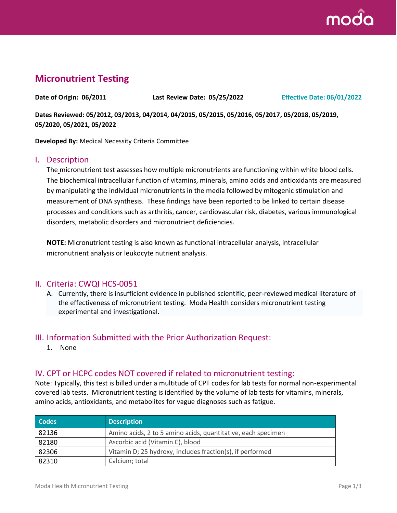

# **Micronutrient Testing**

**Date of Origin: 06/2011 Last Review Date: 05/25/2022 Effective Date: 06/01/2022**

**Dates Reviewed: 05/2012, 03/2013, 04/2014, 04/2015, 05/2015, 05/2016, 05/2017, 05/2018, 05/2019, 05/2020, 05/2021, 05/2022**

**Developed By:** Medical Necessity Criteria Committee

#### I. Description

The micronutrient test assesses how multiple micronutrients are functioning within white blood cells. The biochemical intracellular function of vitamins, minerals, amino acids and antioxidants are measured by manipulating the individual micronutrients in the media followed by mitogenic stimulation and measurement of DNA synthesis. These findings have been reported to be linked to certain disease processes and conditions such as arthritis, cancer, cardiovascular risk, diabetes, various immunological disorders, metabolic disorders and micronutrient deficiencies.

**NOTE:** Micronutrient testing is also known as functional intracellular analysis, intracellular micronutrient analysis or leukocyte nutrient analysis.

#### II. Criteria: CWQI HCS-0051

A. Currently, there is insufficient evidence in published scientific, peer-reviewed medical literature of the effectiveness of micronutrient testing. Moda Health considers micronutrient testing experimental and investigational.

#### III. Information Submitted with the Prior Authorization Request:

1. None

### IV. CPT or HCPC codes NOT covered if related to micronutrient testing:

Note: Typically, this test is billed under a multitude of CPT codes for lab tests for normal non-experimental covered lab tests. Micronutrient testing is identified by the volume of lab tests for vitamins, minerals, amino acids, antioxidants, and metabolites for vague diagnoses such as fatigue.

| <b>Codes</b> | <b>Description</b>                                           |
|--------------|--------------------------------------------------------------|
| 82136        | Amino acids, 2 to 5 amino acids, quantitative, each specimen |
| 82180        | Ascorbic acid (Vitamin C), blood                             |
| 82306        | Vitamin D; 25 hydroxy, includes fraction(s), if performed    |
| 82310        | Calcium; total                                               |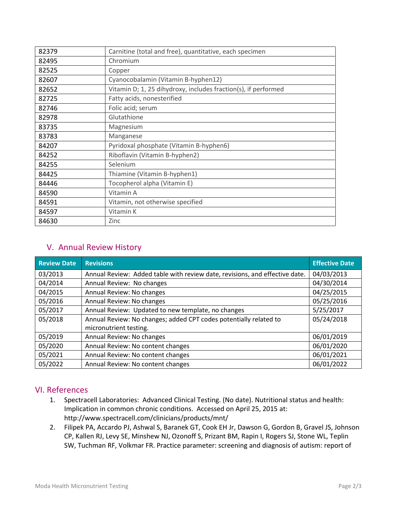| 82379 | Carnitine (total and free), quantitative, each specimen        |
|-------|----------------------------------------------------------------|
| 82495 | Chromium                                                       |
| 82525 | Copper                                                         |
| 82607 | Cyanocobalamin (Vitamin B-hyphen12)                            |
| 82652 | Vitamin D; 1, 25 dihydroxy, includes fraction(s), if performed |
| 82725 | Fatty acids, nonesterified                                     |
| 82746 | Folic acid; serum                                              |
| 82978 | Glutathione                                                    |
| 83735 | Magnesium                                                      |
| 83783 | Manganese                                                      |
| 84207 | Pyridoxal phosphate (Vitamin B-hyphen6)                        |
| 84252 | Riboflavin (Vitamin B-hyphen2)                                 |
| 84255 | Selenium                                                       |
| 84425 | Thiamine (Vitamin B-hyphen1)                                   |
| 84446 | Tocopherol alpha (Vitamin E)                                   |
| 84590 | Vitamin A                                                      |
| 84591 | Vitamin, not otherwise specified                               |
| 84597 | Vitamin K                                                      |
| 84630 | Zinc                                                           |

## V. Annual Review History

| <b>Review Date</b> | <b>Revisions</b>                                                            | <b>Effective Date</b> |
|--------------------|-----------------------------------------------------------------------------|-----------------------|
| 03/2013            | Annual Review: Added table with review date, revisions, and effective date. | 04/03/2013            |
| 04/2014            | Annual Review: No changes                                                   | 04/30/2014            |
| 04/2015            | Annual Review: No changes                                                   | 04/25/2015            |
| 05/2016            | Annual Review: No changes                                                   | 05/25/2016            |
| 05/2017            | Annual Review: Updated to new template, no changes                          | 5/25/2017             |
| 05/2018            | Annual Review: No changes; added CPT codes potentially related to           | 05/24/2018            |
|                    | micronutrient testing.                                                      |                       |
| 05/2019            | Annual Review: No changes                                                   | 06/01/2019            |
| 05/2020            | Annual Review: No content changes                                           | 06/01/2020            |
| 05/2021            | Annual Review: No content changes                                           | 06/01/2021            |
| 05/2022            | Annual Review: No content changes                                           | 06/01/2022            |

### VI. References

- 1. Spectracell Laboratories: Advanced Clinical Testing. (No date). Nutritional status and health: Implication in common chronic conditions. Accessed on April 25, 2015 at: http://www.spectracell.com/clinicians/products/mnt/
- 2. Filipek PA, Accardo PJ, Ashwal S, Baranek GT, Cook EH Jr, Dawson G, Gordon B, Gravel JS, Johnson CP, Kallen RJ, Levy SE, Minshew NJ, Ozonoff S, Prizant BM, Rapin I, Rogers SJ, Stone WL, Teplin SW, Tuchman RF, Volkmar FR. Practice parameter: screening and diagnosis of autism: report of